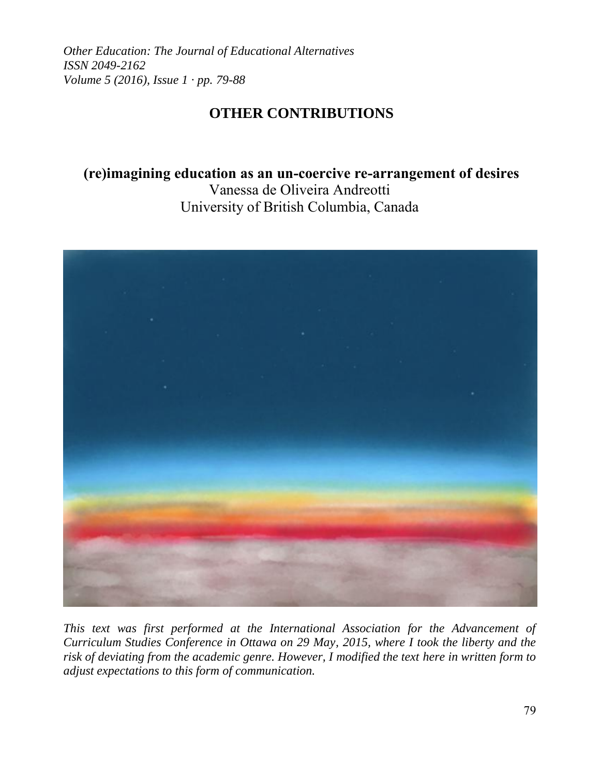*Other Education: The Journal of Educational Alternatives ISSN 2049-2162 Volume 5 (2016), Issue 1 · pp. 79-88*

# **OTHER CONTRIBUTIONS**

# **(re)imagining education as an un-coercive re-arrangement of desires** Vanessa de Oliveira Andreotti University of British Columbia, Canada



*This text was first performed at the International Association for the Advancement of Curriculum Studies Conference in Ottawa on 29 May, 2015, where I took the liberty and the risk of deviating from the academic genre. However, I modified the text here in written form to adjust expectations to this form of communication.*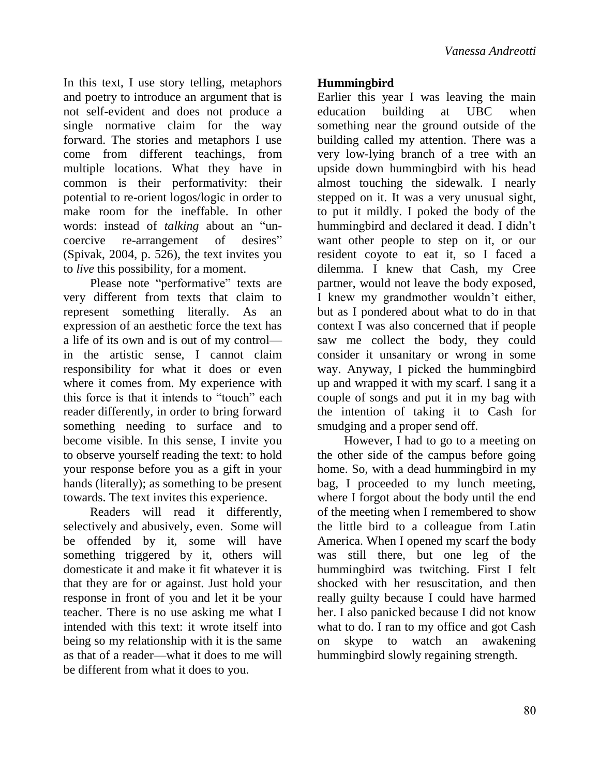In this text, I use story telling, metaphors and poetry to introduce an argument that is not self-evident and does not produce a single normative claim for the way forward. The stories and metaphors I use come from different teachings, from multiple locations. What they have in common is their performativity: their potential to re-orient logos/logic in order to make room for the ineffable. In other words: instead of *talking* about an "uncoercive re-arrangement of desires" (Spivak, 2004, p. 526), the text invites you to *live* this possibility, for a moment.

Please note "performative" texts are very different from texts that claim to represent something literally. As an expression of an aesthetic force the text has a life of its own and is out of my control in the artistic sense, I cannot claim responsibility for what it does or even where it comes from. My experience with this force is that it intends to "touch" each reader differently, in order to bring forward something needing to surface and to become visible. In this sense, I invite you to observe yourself reading the text: to hold your response before you as a gift in your hands (literally); as something to be present towards. The text invites this experience.

Readers will read it differently, selectively and abusively, even. Some will be offended by it, some will have something triggered by it, others will domesticate it and make it fit whatever it is that they are for or against. Just hold your response in front of you and let it be your teacher. There is no use asking me what I intended with this text: it wrote itself into being so my relationship with it is the same as that of a reader—what it does to me will be different from what it does to you.

## **Hummingbird**

Earlier this year I was leaving the main education building at UBC when something near the ground outside of the building called my attention. There was a very low-lying branch of a tree with an upside down hummingbird with his head almost touching the sidewalk. I nearly stepped on it. It was a very unusual sight, to put it mildly. I poked the body of the hummingbird and declared it dead. I didn't want other people to step on it, or our resident coyote to eat it, so I faced a dilemma. I knew that Cash, my Cree partner, would not leave the body exposed, I knew my grandmother wouldn't either, but as I pondered about what to do in that context I was also concerned that if people saw me collect the body, they could consider it unsanitary or wrong in some way. Anyway, I picked the hummingbird up and wrapped it with my scarf. I sang it a couple of songs and put it in my bag with the intention of taking it to Cash for smudging and a proper send off.

However, I had to go to a meeting on the other side of the campus before going home. So, with a dead hummingbird in my bag, I proceeded to my lunch meeting, where I forgot about the body until the end of the meeting when I remembered to show the little bird to a colleague from Latin America. When I opened my scarf the body was still there, but one leg of the hummingbird was twitching. First I felt shocked with her resuscitation, and then really guilty because I could have harmed her. I also panicked because I did not know what to do. I ran to my office and got Cash on skype to watch an awakening hummingbird slowly regaining strength.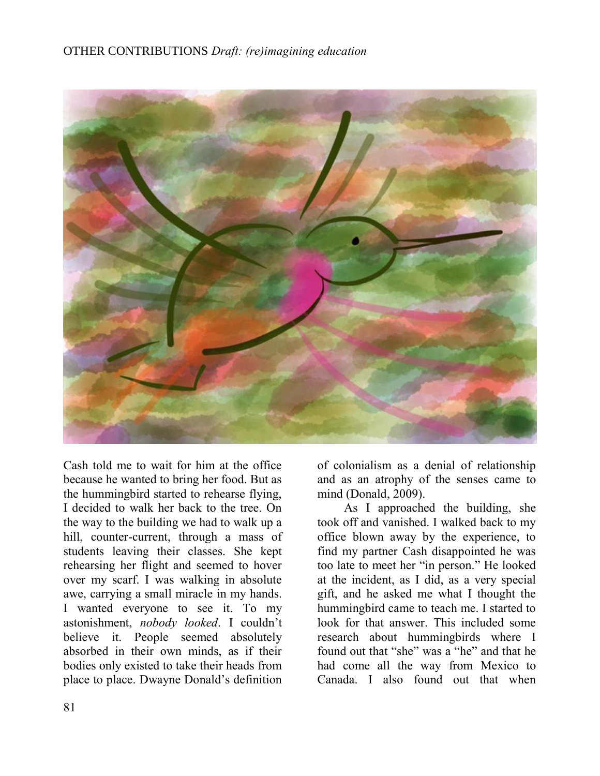## OTHER CONTRIBUTIONS *Draft: (re)imagining education*



Cash told me to wait for him at the office because he wanted to bring her food. But as the hummingbird started to rehearse flying, I decided to walk her back to the tree. On the way to the building we had to walk up a hill, counter-current, through a mass of students leaving their classes. She kept rehearsing her flight and seemed to hover over my scarf. I was walking in absolute awe, carrying a small miracle in my hands. I wanted everyone to see it. To my astonishment, *nobody looked*. I couldn't believe it. People seemed absolutely absorbed in their own minds, as if their bodies only existed to take their heads from place to place. Dwayne Donald's definition

of colonialism as a denial of relationship and as an atrophy of the senses came to mind (Donald, 2009).

As I approached the building, she took off and vanished. I walked back to my office blown away by the experience, to find my partner Cash disappointed he was too late to meet her "in person." He looked at the incident, as I did, as a very special gift, and he asked me what I thought the hummingbird came to teach me. I started to look for that answer. This included some research about hummingbirds where I found out that "she" was a "he" and that he had come all the way from Mexico to Canada. I also found out that when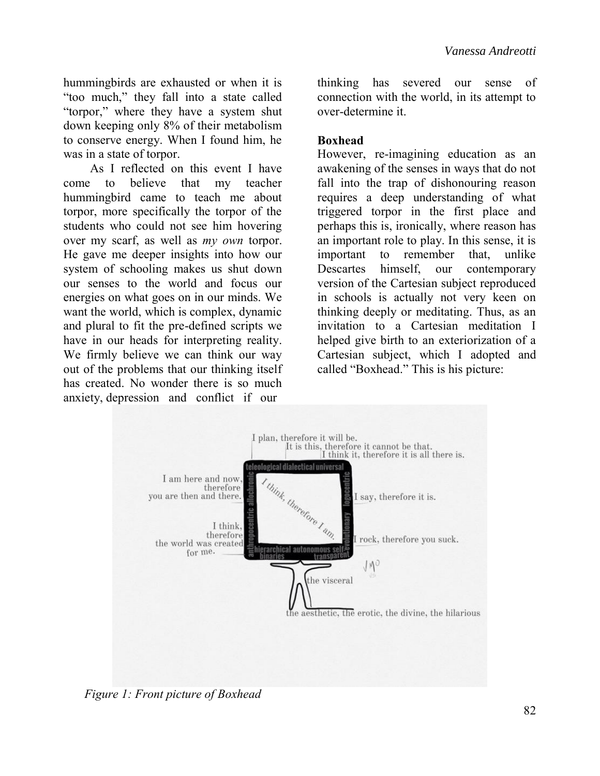hummingbirds are exhausted or when it is "too much," they fall into a state called "torpor," where they have a system shut down keeping only 8% of their metabolism to conserve energy. When I found him, he was in a state of torpor.

As I reflected on this event I have come to believe that my teacher hummingbird came to teach me about torpor, more specifically the torpor of the students who could not see him hovering over my scarf, as well as *my own* torpor. He gave me deeper insights into how our system of schooling makes us shut down our senses to the world and focus our energies on what goes on in our minds. We want the world, which is complex, dynamic and plural to fit the pre-defined scripts we have in our heads for interpreting reality. We firmly believe we can think our way out of the problems that our thinking itself has created. No wonder there is so much anxiety, depression and conflict if our

thinking has severed our sense of connection with the world, in its attempt to over-determine it.

### **Boxhead**

However, re-imagining education as an awakening of the senses in ways that do not fall into the trap of dishonouring reason requires a deep understanding of what triggered torpor in the first place and perhaps this is, ironically, where reason has an important role to play. In this sense, it is important to remember that, unlike Descartes himself, our contemporary version of the Cartesian subject reproduced in schools is actually not very keen on thinking deeply or meditating. Thus, as an invitation to a Cartesian meditation I helped give birth to an exteriorization of a Cartesian subject, which I adopted and called "Boxhead." This is his picture:



*Figure 1: Front picture of Boxhead*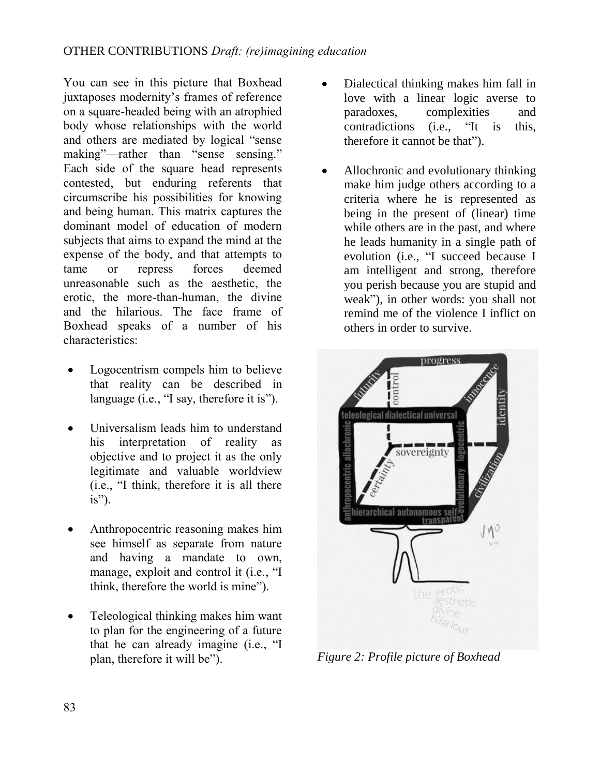You can see in this picture that Boxhead juxtaposes modernity's frames of reference on a square-headed being with an atrophied body whose relationships with the world and others are mediated by logical "sense making"—rather than "sense sensing." Each side of the square head represents contested, but enduring referents that circumscribe his possibilities for knowing and being human. This matrix captures the dominant model of education of modern subjects that aims to expand the mind at the expense of the body, and that attempts to tame or repress forces deemed unreasonable such as the aesthetic, the erotic, the more-than-human, the divine and the hilarious. The face frame of Boxhead speaks of a number of his characteristics:

- Logocentrism compels him to believe that reality can be described in language (i.e., "I say, therefore it is").
- Universalism leads him to understand his interpretation of reality as objective and to project it as the only legitimate and valuable worldview (i.e., "I think, therefore it is all there is").
- Anthropocentric reasoning makes him see himself as separate from nature and having a mandate to own, manage, exploit and control it (i.e., "I think, therefore the world is mine").
- Teleological thinking makes him want to plan for the engineering of a future that he can already imagine (i.e., "I plan, therefore it will be").
- Dialectical thinking makes him fall in love with a linear logic averse to paradoxes, complexities and contradictions (i.e., "It is this, therefore it cannot be that").
- Allochronic and evolutionary thinking make him judge others according to a criteria where he is represented as being in the present of (linear) time while others are in the past, and where he leads humanity in a single path of evolution (i.e., "I succeed because I am intelligent and strong, therefore you perish because you are stupid and weak"), in other words: you shall not remind me of the violence I inflict on others in order to survive.



*Figure 2: Profile picture of Boxhead*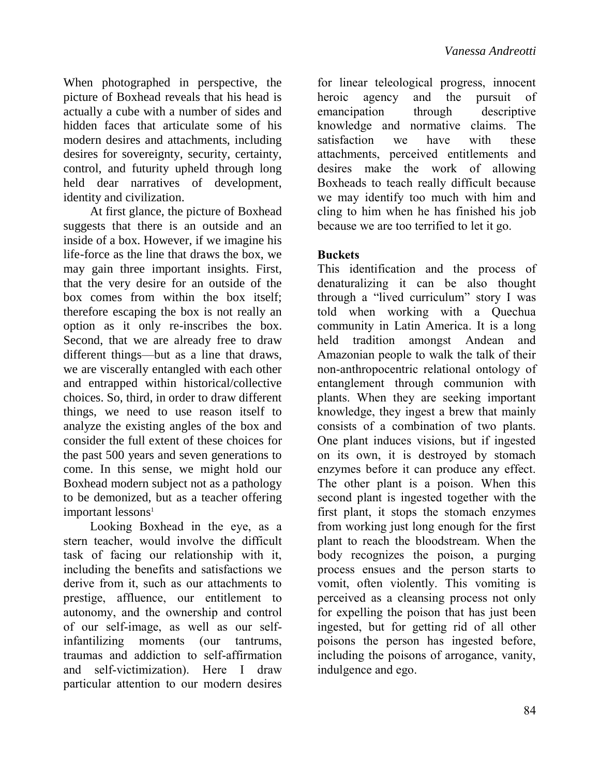When photographed in perspective, the picture of Boxhead reveals that his head is actually a cube with a number of sides and hidden faces that articulate some of his modern desires and attachments, including desires for sovereignty, security, certainty, control, and futurity upheld through long held dear narratives of development, identity and civilization.

At first glance, the picture of Boxhead suggests that there is an outside and an inside of a box. However, if we imagine his life-force as the line that draws the box, we may gain three important insights. First, that the very desire for an outside of the box comes from within the box itself; therefore escaping the box is not really an option as it only re-inscribes the box. Second, that we are already free to draw different things—but as a line that draws, we are viscerally entangled with each other and entrapped within historical/collective choices. So, third, in order to draw different things, we need to use reason itself to analyze the existing angles of the box and consider the full extent of these choices for the past 500 years and seven generations to come. In this sense, we might hold our Boxhead modern subject not as a pathology to be demonized, but as a teacher offering important lessons<sup>1</sup>

Looking Boxhead in the eye, as a stern teacher, would involve the difficult task of facing our relationship with it, including the benefits and satisfactions we derive from it, such as our attachments to prestige, affluence, our entitlement to autonomy, and the ownership and control of our self-image, as well as our selfinfantilizing moments (our tantrums, traumas and addiction to self-affirmation and self-victimization). Here I draw particular attention to our modern desires

for linear teleological progress, innocent<br>heroic agency and the pursuit of heroic agency and the pursuit of emancipation through descriptive knowledge and normative claims. The satisfaction we have with these attachments, perceived entitlements and desires make the work of allowing Boxheads to teach really difficult because we may identify too much with him and cling to him when he has finished his job because we are too terrified to let it go.

## **Buckets**

This identification and the process of denaturalizing it can be also thought through a "lived curriculum" story I was told when working with a Quechua community in Latin America. It is a long held tradition amongst Andean and Amazonian people to walk the talk of their non-anthropocentric relational ontology of entanglement through communion with plants. When they are seeking important knowledge, they ingest a brew that mainly consists of a combination of two plants. One plant induces visions, but if ingested on its own, it is destroyed by stomach enzymes before it can produce any effect. The other plant is a poison. When this second plant is ingested together with the first plant, it stops the stomach enzymes from working just long enough for the first plant to reach the bloodstream. When the body recognizes the poison, a purging process ensues and the person starts to vomit, often violently. This vomiting is perceived as a cleansing process not only for expelling the poison that has just been ingested, but for getting rid of all other poisons the person has ingested before, including the poisons of arrogance, vanity, indulgence and ego.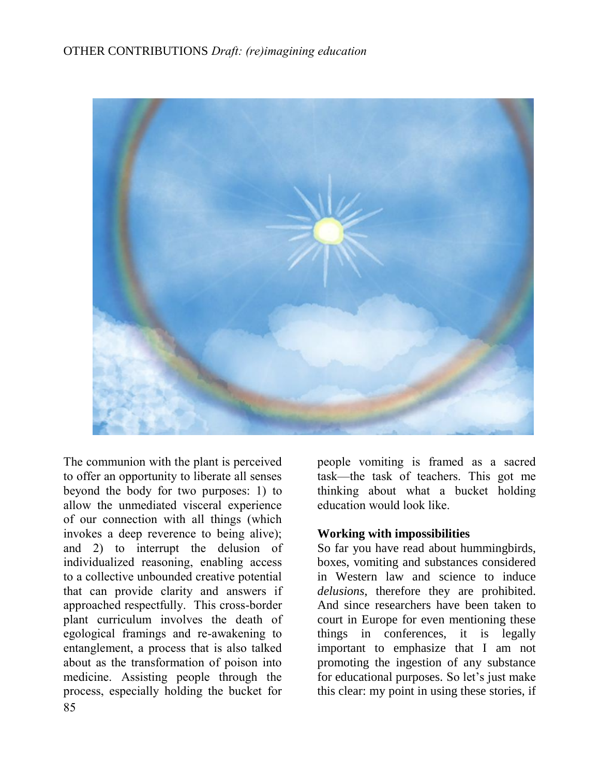## OTHER CONTRIBUTIONS *Draft: (re)imagining education*



85 The communion with the plant is perceived to offer an opportunity to liberate all senses beyond the body for two purposes: 1) to allow the unmediated visceral experience of our connection with all things (which invokes a deep reverence to being alive); and 2) to interrupt the delusion of individualized reasoning, enabling access to a collective unbounded creative potential that can provide clarity and answers if approached respectfully. This cross-border plant curriculum involves the death of egological framings and re-awakening to entanglement, a process that is also talked about as the transformation of poison into medicine. Assisting people through the process, especially holding the bucket for

people vomiting is framed as a sacred task—the task of teachers. This got me thinking about what a bucket holding education would look like.

### **Working with impossibilities**

So far you have read about hummingbirds, boxes, vomiting and substances considered in Western law and science to induce *delusions*, therefore they are prohibited. And since researchers have been taken to court in Europe for even mentioning these things in conferences, it is legally important to emphasize that I am not promoting the ingestion of any substance for educational purposes. So let's just make this clear: my point in using these stories, if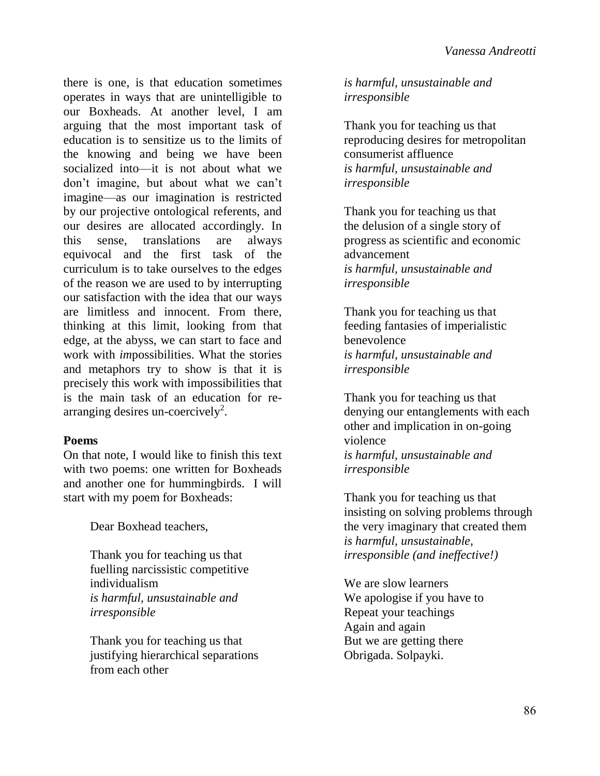there is one, is that education sometimes operates in ways that are unintelligible to our Boxheads. At another level, I am arguing that the most important task of education is to sensitize us to the limits of the knowing and being we have been socialized into—it is not about what we don't imagine, but about what we can't imagine—as our imagination is restricted by our projective ontological referents, and our desires are allocated accordingly. In this sense, translations are always equivocal and the first task of the curriculum is to take ourselves to the edges of the reason we are used to by interrupting our satisfaction with the idea that our ways are limitless and innocent. From there, thinking at this limit, looking from that edge, at the abyss, we can start to face and work with *im*possibilities. What the stories and metaphors try to show is that it is precisely this work with impossibilities that is the main task of an education for rearranging desires un-coercively<sup>2</sup>.

### **Poems**

On that note, I would like to finish this text with two poems: one written for Boxheads and another one for hummingbirds. I will start with my poem for Boxheads:

Dear Boxhead teachers,

Thank you for teaching us that fuelling narcissistic competitive individualism *is harmful, unsustainable and irresponsible*

Thank you for teaching us that justifying hierarchical separations from each other

*is harmful, unsustainable and irresponsible*

Thank you for teaching us that reproducing desires for metropolitan consumerist affluence *is harmful, unsustainable and irresponsible*

Thank you for teaching us that the delusion of a single story of progress as scientific and economic advancement *is harmful, unsustainable and irresponsible*

Thank you for teaching us that feeding fantasies of imperialistic benevolence *is harmful, unsustainable and irresponsible*

Thank you for teaching us that denying our entanglements with each other and implication in on-going violence *is harmful, unsustainable and irresponsible*

Thank you for teaching us that insisting on solving problems through the very imaginary that created them *is harmful, unsustainable, irresponsible (and ineffective!)*

We are slow learners We apologise if you have to Repeat your teachings Again and again But we are getting there Obrigada. Solpayki.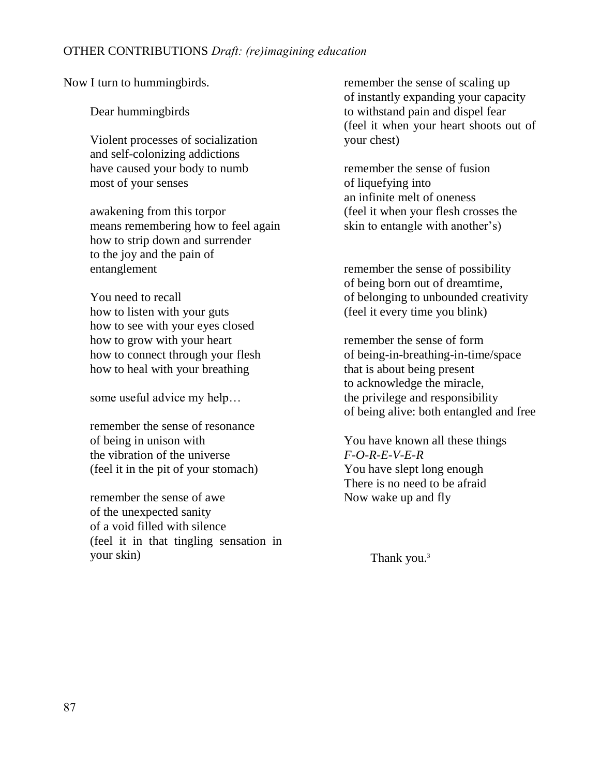### OTHER CONTRIBUTIONS *Draft: (re)imagining education*

Now I turn to hummingbirds.

Dear hummingbirds

Violent processes of socialization and self-colonizing addictions have caused your body to numb most of your senses

awakening from this torpor means remembering how to feel again how to strip down and surrender to the joy and the pain of entanglement

You need to recall how to listen with your guts how to see with your eyes closed how to grow with your heart how to connect through your flesh how to heal with your breathing

some useful advice my help…

remember the sense of resonance of being in unison with the vibration of the universe (feel it in the pit of your stomach)

remember the sense of awe of the unexpected sanity of a void filled with silence (feel it in that tingling sensation in your skin)

remember the sense of scaling up of instantly expanding your capacity to withstand pain and dispel fear (feel it when your heart shoots out of your chest)

remember the sense of fusion of liquefying into an infinite melt of oneness (feel it when your flesh crosses the skin to entangle with another's)

remember the sense of possibility of being born out of dreamtime, of belonging to unbounded creativity (feel it every time you blink)

remember the sense of form of being-in-breathing-in-time/space that is about being present to acknowledge the miracle, the privilege and responsibility of being alive: both entangled and free

You have known all these things *F-O-R-E-V-E-R* You have slept long enough There is no need to be afraid Now wake up and fly

Thank you.<sup>3</sup>